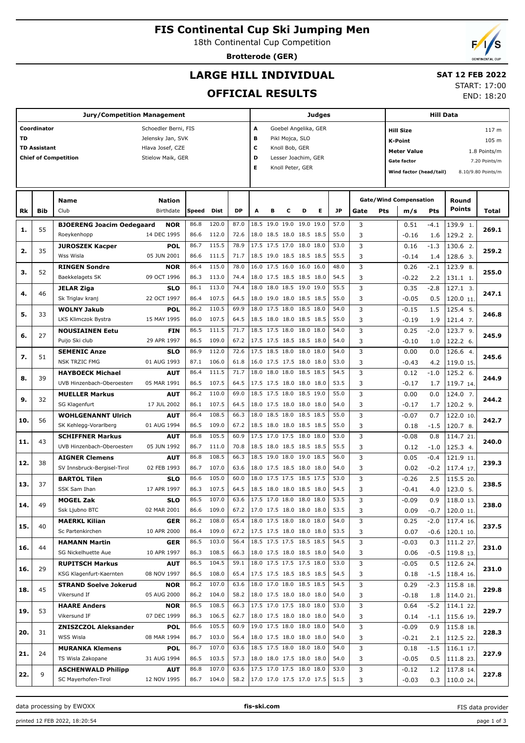# **FIS Continental Cup Ski Jumping Men**

18th Continental Cup Competition

**Brotterode (GER)**

# **LARGE HILL INDIVIDUAL**

#### **SAT 12 FEB 2022** START: 17:00

**OFFICIAL RESULTS**

| <b>Jury/Competition Management</b> |                                                  |                                                       |                      |       |       |      |                          | <b>Judges</b> |                          |   |   |      |      |     |                                    | Hill Data |               |                    |  |  |
|------------------------------------|--------------------------------------------------|-------------------------------------------------------|----------------------|-------|-------|------|--------------------------|---------------|--------------------------|---|---|------|------|-----|------------------------------------|-----------|---------------|--------------------|--|--|
|                                    | Coordinator                                      |                                                       | Schoedler Berni, FIS |       |       |      | А                        |               | Goebel Angelika, GER     |   |   |      |      |     | <b>Hill Size</b>                   |           |               | 117 <sub>m</sub>   |  |  |
| TD                                 |                                                  |                                                       | Jelensky Jan, SVK    |       |       |      | в                        |               | Pikl Mojca, SLO          |   |   |      |      |     | K-Point                            |           |               | 105 m              |  |  |
|                                    | <b>TD Assistant</b>                              |                                                       | Hlava Josef, CZE     |       |       |      | c<br>Knoll Bob, GER      |               |                          |   |   |      |      |     |                                    |           |               |                    |  |  |
|                                    | <b>Chief of Competition</b><br>Stielow Maik, GER |                                                       |                      |       |       |      |                          |               | Lesser Joachim, GER      |   |   |      |      |     | <b>Meter Value</b><br>1.8 Points/m |           |               |                    |  |  |
|                                    |                                                  |                                                       |                      |       |       |      | Е                        |               | Knoll Peter, GER         |   |   |      |      |     | <b>Gate factor</b>                 |           |               | 7.20 Points/m      |  |  |
|                                    |                                                  |                                                       |                      |       |       |      |                          |               |                          |   |   |      |      |     | Wind factor (head/tail)            |           |               | 8.10/9.80 Points/m |  |  |
|                                    |                                                  |                                                       |                      |       |       |      |                          |               |                          |   |   |      |      |     |                                    |           |               |                    |  |  |
|                                    |                                                  | <b>Name</b>                                           | Nation               |       |       |      |                          |               |                          |   |   |      |      |     | <b>Gate/Wind Compensation</b>      |           | Round         |                    |  |  |
| Rk                                 | Bib                                              | Club                                                  | Birthdate            | Speed | Dist  | DP   | A                        | в             | c                        | D | Е | JP   | Gate | Pts |                                    | Pts       | <b>Points</b> | Total              |  |  |
|                                    |                                                  |                                                       |                      |       |       |      |                          |               |                          |   |   |      |      |     | m/s                                |           |               |                    |  |  |
| 1.                                 | 55                                               | <b>BJOERENG Joacim Oedegaard</b>                      | <b>NOR</b>           | 86.8  | 120.0 | 87.0 |                          |               | 18.5 19.0 19.0 19.0 19.0 |   |   | 57.0 | 3    |     | 0.51                               | -4.1      | 139.9 1.      | 269.1              |  |  |
|                                    |                                                  | Roeykenhopp                                           | 14 DEC 1995          | 86.6  | 112.0 | 72.6 |                          |               | 18.0 18.5 18.0 18.5 18.5 |   |   | 55.0 | 3    |     | $-0.16$                            | 1.6       | 129.2 2.      |                    |  |  |
| 2.                                 | 35                                               | <b>JUROSZEK Kacper</b>                                | <b>POL</b>           | 86.7  | 115.5 | 78.9 |                          |               | 17.5 17.5 17.0 18.0 18.0 |   |   | 53.0 | 3    |     | 0.16                               | $-1.3$    | 130.6 2.      | 259.2              |  |  |
|                                    |                                                  | Wss Wisla                                             | 05 JUN 2001          | 86.6  | 111.5 | 71.7 |                          |               | 18.5 19.0 18.5 18.5 18.5 |   |   | 55.5 | 3    |     | $-0.14$                            | 1.4       | 128.6 3.      |                    |  |  |
| з.                                 | 52                                               | <b>RINGEN Sondre</b>                                  | <b>NOR</b>           | 86.4  | 115.0 | 78.0 |                          |               | 16.0 17.5 16.0 16.0 16.0 |   |   | 48.0 | 3    |     | 0.26                               | $-2.1$    | 123.9 8.      | 255.0              |  |  |
|                                    |                                                  | Baekkelagets SK                                       | 09 OCT 1996          | 86.3  | 113.0 | 74.4 |                          |               | 18.0 17.5 18.5 18.5 18.0 |   |   | 54.5 | 3    |     | $-0.22$                            | 2.2       | 131.1 1.      |                    |  |  |
|                                    |                                                  | <b>JELAR Ziga</b>                                     | <b>SLO</b>           | 86.1  | 113.0 | 74.4 |                          |               | 18.0 18.0 18.5 19.0 19.0 |   |   | 55.5 | 3    |     | 0.35                               | $-2.8$    | 127.1 3.      |                    |  |  |
| 4.                                 | 46                                               | Sk Triglav kranj                                      | 22 OCT 1997          | 86.4  | 107.5 | 64.5 |                          |               | 18.0 19.0 18.0 18.5 18.5 |   |   | 55.0 | 3    |     | $-0.05$                            | 0.5       | 120.0 11.     | 247.1              |  |  |
|                                    |                                                  | <b>WOLNY Jakub</b>                                    | POL                  | 86.2  | 110.5 | 69.9 |                          |               | 18.0 17.5 18.0 18.5 18.0 |   |   | 54.0 | 3    |     | $-0.15$                            | 1.5       | 125.4 5.      |                    |  |  |
| 5.                                 | 33                                               | LKS Klimczok Bystra                                   | 15 MAY 1995          | 86.0  | 107.5 | 64.5 |                          |               | 18.5 18.0 18.0 18.5 18.5 |   |   | 55.0 | 3    |     | $-0.19$                            | 1.9       | 121.4 7.      | 246.8              |  |  |
|                                    |                                                  | <b>NOUSIAINEN Eetu</b>                                | <b>FIN</b>           | 86.5  | 111.5 | 71.7 |                          |               | 18.5 17.5 18.0 18.0 18.0 |   |   | 54.0 | 3    |     | 0.25                               | $-2.0$    | 123.7 9.      |                    |  |  |
| 6.                                 | 27                                               | Puijo Ski club                                        | 29 APR 1997          | 86.5  | 109.0 | 67.2 |                          |               | 17.5 17.5 18.5 18.5 18.0 |   |   | 54.0 | 3    |     | $-0.10$                            | 1.0       | 122.2 6.      | 245.9              |  |  |
|                                    |                                                  | <b>SEMENIC Anze</b>                                   | <b>SLO</b>           | 86.9  | 112.0 | 72.6 |                          |               | 17.5 18.5 18.0 18.0 18.0 |   |   | 54.0 | 3    |     | 0.00                               | 0.0       | 126.6 4.      |                    |  |  |
| 7.                                 | 51                                               | <b>NSK TRZIC FMG</b>                                  | 01 AUG 1993          | 87.1  | 106.0 | 61.8 |                          |               | 16.0 17.5 17.5 18.0 18.0 |   |   | 53.0 | 3    |     | $-0.43$                            | 4.2       | 119.0 15.     | 245.6              |  |  |
|                                    |                                                  | <b>HAYBOECK Michael</b>                               | AUT                  | 86.4  | 111.5 | 71.7 |                          |               | 18.0 18.0 18.0 18.5 18.5 |   |   | 54.5 | 3    |     | 0.12                               | $-1.0$    | 125.2 6.      |                    |  |  |
| 8.                                 | 39                                               | UVB Hinzenbach-Oberoesterr                            | 05 MAR 1991          | 86.5  | 107.5 | 64.5 |                          |               | 17.5 17.5 18.0 18.0 18.0 |   |   | 53.5 | 3    |     | $-0.17$                            | 1.7       | 119.7 14.     | 244.9              |  |  |
|                                    |                                                  | <b>MUELLER Markus</b>                                 | AUT                  | 86.2  | 110.0 | 69.0 |                          |               | 18.5 17.5 18.0 18.5 19.0 |   |   | 55.0 | 3    |     | 0.00                               | 0.0       | 124.0 7.      |                    |  |  |
| 9.                                 | 32                                               | SG Klagenfurt                                         | 17 JUL 2002          | 86.1  | 107.5 | 64.5 |                          |               | 18.0 17.5 18.0 18.0 18.0 |   |   | 54.0 | 3    |     | $-0.17$                            | 1.7       | 120.2 9.      | 244.2              |  |  |
|                                    |                                                  | <b>WOHLGENANNT Ulrich</b>                             | AUT                  | 86.4  | 108.5 | 66.3 |                          |               | 18.0 18.5 18.0 18.5 18.5 |   |   | 55.0 | 3    |     | $-0.07$                            | 0.7       | 122.0 10.     |                    |  |  |
| 10.                                | 56                                               | SK Kehlegg-Vorarlberg                                 | 01 AUG 1994          | 86.5  | 109.0 | 67.2 |                          |               | 18.5 18.0 18.0 18.5 18.5 |   |   | 55.0 | 3    |     | 0.18                               | $-1.5$    | 120.7 8.      | 242.7              |  |  |
|                                    |                                                  |                                                       |                      | 86.8  | 105.5 | 60.9 |                          |               | 17.5 17.0 17.5 18.0 18.0 |   |   | 53.0 | 3    |     |                                    |           |               |                    |  |  |
| 11.                                | 43                                               | <b>SCHIFFNER Markus</b><br>UVB Hinzenbach-Oberoesterr | AUT<br>05 JUN 1992   | 86.7  |       |      |                          |               |                          |   |   | 55.5 |      |     | $-0.08$                            | 0.8       | 114.7 21.     | 240.0              |  |  |
|                                    |                                                  |                                                       |                      |       | 111.0 | 70.8 |                          |               | 18.5 18.0 18.5 18.5 18.5 |   |   |      | 3    |     | 0.12                               | $-1.0$    | 125.3 4.      |                    |  |  |
| 12.                                | 38                                               | <b>AIGNER Clemens</b>                                 | AUT                  | 86.8  | 108.5 | 66.3 |                          |               | 18.5 19.0 18.0 19.0 18.5 |   |   | 56.0 | 3    |     | 0.05                               | $-0.4$    | 121.9 11.     | 239.3              |  |  |
|                                    |                                                  | SV Innsbruck-Bergisel-Tirol                           | 02 FEB 1993          | 86.7  | 107.0 | 63.6 |                          |               | 18.0 17.5 18.5 18.0 18.0 |   |   | 54.0 | 3    |     | 0.02                               | $-0.2$    | 117.4 17.     |                    |  |  |
| 13.                                | 37                                               | <b>BARTOL Tilen</b>                                   | <b>SLO</b>           | 86.6  | 105.0 | 60.0 |                          |               | 18.0 17.5 17.5 18.5 17.5 |   |   | 53.0 | 3    |     | $-0.26$                            | 2.5       | 115.5 20.     | 238.5              |  |  |
|                                    |                                                  | SSK Sam Ihan                                          | 17 APR 1997          | 86.3  | 107.5 | 64.5 |                          |               | 18.5 18.0 18.0 18.5 18.0 |   |   | 54.5 | 3    |     | $-0.41$                            | 4.0       | 123.0 5.      |                    |  |  |
| 14.                                | 49                                               | <b>MOGEL Zak</b>                                      | <b>SLO</b>           | 86.5  | 107.0 | 63.6 |                          |               | 17.5 17.0 18.0 18.0 18.0 |   |   | 53.5 | 3    |     | $-0.09$                            | 0.9       | 118.0 13.     | 238.0              |  |  |
|                                    |                                                  | Ssk Ljubno BTC                                        | 02 MAR 2001          | 86.6  | 109.0 | 67.2 | 17.0 17.5 18.0 18.0 18.0 |               |                          |   |   | 53.5 | 3    |     | 0.09                               | $-0.7$    | 120.0 11.     |                    |  |  |
| 15.                                | 40                                               | <b>MAERKL Kilian</b>                                  | <b>GER</b>           | 86.2  | 108.0 | 65.4 |                          |               | 18.0 17.5 18.0 18.0 18.0 |   |   | 54.0 | 3    |     | 0.25                               | $-2.0$    | 117.4 16.     | 237.5              |  |  |
|                                    |                                                  | Sc Partenkirchen                                      | 10 APR 2000          | 86.4  | 109.0 | 67.2 |                          |               | 17.5 17.5 18.0 18.0 18.0 |   |   | 53.5 | 3    |     | 0.07                               | $-0.6$    | 120.1 10.     |                    |  |  |
| 16.                                | 44                                               | <b>HAMANN Martin</b>                                  | <b>GER</b>           | 86.5  | 103.0 | 56.4 |                          |               | 18.5 17.5 17.5 18.5 18.5 |   |   | 54.5 | 3    |     | $-0.03$                            | 0.3       | 111.2 27.     | 231.0              |  |  |
|                                    |                                                  | SG Nickelhuette Aue                                   | 10 APR 1997          | 86.3  | 108.5 | 66.3 |                          |               | 18.0 17.5 18.0 18.5 18.0 |   |   | 54.0 | 3    |     | 0.06                               | $-0.5$    | 119.8 13.     |                    |  |  |
| 16.                                | 29                                               | <b>RUPITSCH Markus</b>                                | <b>AUT</b>           | 86.5  | 104.5 | 59.1 |                          |               | 18.0 17.5 17.5 17.5 18.0 |   |   | 53.0 | 3    |     | $-0.05$                            | 0.5       | 112.6 24.     | 231.0              |  |  |
|                                    |                                                  | KSG Klagenfurt-Kaernten                               | 08 NOV 1997          | 86.5  | 108.0 | 65.4 |                          |               | 17.5 17.5 18.5 18.5 18.5 |   |   | 54.5 | 3    |     | 0.18                               | $-1.5$    | 118.4 16.     |                    |  |  |
|                                    | 45                                               | <b>STRAND Soelve Jokerud</b>                          | <b>NOR</b>           | 86.2  | 107.0 | 63.6 |                          |               | 18.0 17.0 18.0 18.5 18.5 |   |   | 54.5 | 3    |     | 0.29                               | $-2.3$    | 115.8 18.     | 229.8              |  |  |
| 18.                                |                                                  | Vikersund If                                          | 05 AUG 2000          | 86.2  | 104.0 | 58.2 |                          |               | 18.0 17.5 18.0 18.0 18.0 |   |   | 54.0 | 3    |     | $-0.18$                            | 1.8       | 114.0 21.     |                    |  |  |
|                                    |                                                  | <b>HAARE Anders</b>                                   | <b>NOR</b>           | 86.5  | 108.5 | 66.3 |                          |               | 17.5 17.0 17.5 18.0 18.0 |   |   | 53.0 | 3    |     | 0.64                               | $-5.2$    | 114.1 22.     |                    |  |  |
| 19.                                | 53                                               | Vikersund IF                                          | 07 DEC 1999          | 86.3  | 106.5 | 62.7 |                          |               | 18.0 17.5 18.0 18.0 18.0 |   |   | 54.0 | 3    |     | 0.14                               | $-1.1$    | 115.6 19.     | 229.7              |  |  |
|                                    |                                                  | <b>ZNISZCZOL Aleksander</b>                           | <b>POL</b>           | 86.6  | 105.5 | 60.9 |                          |               | 19.0 17.5 18.0 18.0 18.0 |   |   | 54.0 | 3    |     | $-0.09$                            | 0.9       | 115.8 18.     |                    |  |  |
| 20.                                | 31                                               | WSS Wisla                                             | 08 MAR 1994          | 86.7  | 103.0 | 56.4 |                          |               | 18.0 17.5 18.0 18.0 18.0 |   |   | 54.0 | 3    |     | $-0.21$                            | 2.1       | 112.5 22.     | 228.3              |  |  |
|                                    |                                                  | <b>MURANKA Klemens</b>                                | <b>POL</b>           | 86.7  | 107.0 | 63.6 |                          |               | 18.5 17.5 18.0 18.0 18.0 |   |   | 54.0 | 3    |     | 0.18                               | $-1.5$    | 116.1 17.     |                    |  |  |
| 21.                                | 24                                               | TS Wisla Zakopane                                     | 31 AUG 1994          | 86.5  | 103.5 | 57.3 |                          |               | 18.0 18.0 17.5 18.0 18.0 |   |   | 54.0 | 3    |     | $-0.05$                            | 0.5       | 111.8 23.     | 227.9              |  |  |
|                                    |                                                  | <b>ASCHENWALD Philipp</b>                             | <b>AUT</b>           | 86.8  | 107.0 | 63.6 |                          |               | 17.5 17.0 17.5 18.0 18.0 |   |   | 53.0 | 3    |     | $-0.12$                            | 1.2       | 117.8 14.     |                    |  |  |
| 22.                                | 9                                                | SC Mayerhofen-Tirol                                   | 12 NOV 1995          | 86.7  | 104.0 | 58.2 |                          |               | 17.0 17.0 17.5 17.0 17.5 |   |   | 51.5 | 3    |     | $-0.03$                            | 0.3       | 110.0 24.     | 227.8              |  |  |

data processing by EWOXX **fis-ski.com**

FIS data provider



END: 18:20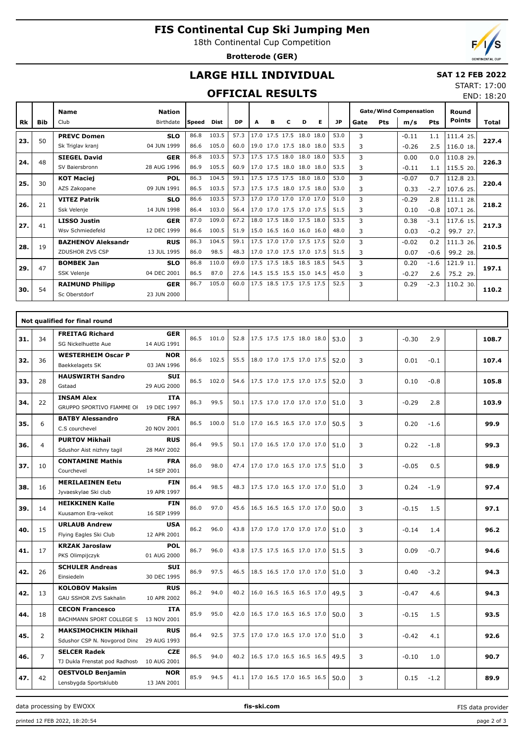# **FIS Continental Cup Ski Jumping Men**

18th Continental Cup Competition

**Brotterode (GER)**



END: 18:20

### **LARGE HILL INDIVIDUAL**

#### **SAT 12 FEB 2022** START: 17:00

### **OFFICIAL RESULTS**

|           |            | <b>Name</b>               | <b>Nation</b> |       |       |           |   |   |                          |   |                          |           |      |     | <b>Gate/Wind Compensation</b> |            | Round<br><b>Points</b> |       |
|-----------|------------|---------------------------|---------------|-------|-------|-----------|---|---|--------------------------|---|--------------------------|-----------|------|-----|-------------------------------|------------|------------------------|-------|
| <b>Rk</b> | <b>Bib</b> | Club                      | Birthdate     | Speed | Dist  | <b>DP</b> | A | в | с                        | D | Е                        | <b>JP</b> | Gate | Pts | m/s                           | <b>Pts</b> |                        | Total |
| 23.       | 50         | <b>PREVC Domen</b>        | <b>SLO</b>    | 86.8  | 103.5 | 57.3      |   |   | 17.0 17.5 17.5 18.0 18.0 |   |                          | 53.0      | 3    |     | $-0.11$                       | 1.1        | 111.4 25.              | 227.4 |
|           |            | Sk Triglav kranj          | 04 JUN 1999   | 86.6  | 105.0 | 60.0      |   |   |                          |   | 19.0 17.0 17.5 18.0 18.0 | 53.5      | 3    |     | $-0.26$                       | 2.5        | 116.0 18.              |       |
| 24.       | 48         | <b>SIEGEL David</b>       | <b>GER</b>    | 86.8  | 103.5 | 57.3      |   |   | 17.5 17.5 18.0 18.0 18.0 |   |                          | 53.5      | 3    |     | 0.00                          | 0.0        | 110.8 29.              | 226.3 |
|           |            | SV Baiersbronn            | 28 AUG 1996   | 86.9  | 105.5 | 60.9      |   |   | 17.0 17.5 18.0 18.0 18.0 |   |                          | 53.5      | 3    |     | $-0.11$                       | 1.1        | 115.5 20.              |       |
| 25.       | 30         | <b>KOT Maciej</b>         | <b>POL</b>    | 86.3  | 104.5 | 59.1      |   |   | 17.5 17.5 17.5 18.0 18.0 |   |                          | 53.0      | 3    |     | $-0.07$                       | 0.7        | 112.8 23.              | 220.4 |
|           |            | AZS Zakopane              | 09 JUN 1991   | 86.5  | 103.5 | 57.3      |   |   | 17.5 17.5 18.0 17.5 18.0 |   |                          | 53.0      | 3    |     | 0.33                          | $-2.7$     | 107.6 25.              |       |
| 26.       | 21         | <b>VITEZ Patrik</b>       | <b>SLO</b>    | 86.6  | 103.5 | 57.3      |   |   | 17.0 17.0 17.0 17.0 17.0 |   |                          | 51.0      | 3    |     | $-0.29$                       | 2.8        | 111.1 28.              | 218.2 |
|           |            | Ssk Velenie               | 14 JUN 1998   | 86.4  | 103.0 | 56.4      |   |   |                          |   | 17.0 17.0 17.5 17.0 17.5 | 51.5      | 3    |     | 0.10                          | $-0.8$     | 107.1 26.              |       |
| 27.       | 41         | <b>LISSO Justin</b>       | <b>GER</b>    | 87.0  | 109.0 | 67.2      |   |   | 18.0 17.5 18.0 17.5 18.0 |   |                          | 53.5      | 3    |     | 0.38                          | $-3.1$     | 117.6 15.              | 217.3 |
|           |            | Wsv Schmiedefeld          | 12 DEC 1999   | 86.6  | 100.5 | 51.9      |   |   | 15.0 16.5 16.0 16.0 16.0 |   |                          | 48.0      | 3    |     | 0.03                          | $-0.2$     | 99.7 27.               |       |
| 28.       | 19         | <b>BAZHENOV Aleksandr</b> | <b>RUS</b>    | 86.3  | 104.5 | 59.1      |   |   | 17.5 17.0 17.0 17.5 17.5 |   |                          | 52.0      | 3    |     | $-0.02$                       | 0.2        | 111.3 26.              | 210.5 |
|           |            | ZDUSHOR ZVS CSP           | 13 JUL 1995   | 86.0  | 98.5  | 48.3      |   |   | 17.0 17.0 17.5 17.0 17.5 |   |                          | 51.5      | 3    |     | 0.07                          | $-0.6$     | 99.2 28.               |       |
| 29.       | 47         | <b>BOMBEK Jan</b>         | <b>SLO</b>    | 86.8  | 110.0 | 69.0      |   |   | 17.5 17.5 18.5 18.5 18.5 |   |                          | 54.5      | 3    |     | 0.20                          | $-1.6$     | 121.9 11.              | 197.1 |
|           |            | <b>SSK Velenje</b>        | 04 DEC 2001   | 86.5  | 87.0  | 27.6      |   |   | 14.5 15.5 15.5 15.0 14.5 |   |                          | 45.0      | 3    |     | $-0.27$                       | 2.6        | 75.2 29.               |       |
| 30.       | 54         | <b>RAIMUND Philipp</b>    | <b>GER</b>    | 86.7  | 105.0 | 60.0      |   |   | 17.5 18.5 17.5 17.5 17.5 |   |                          | 52.5      | 3    |     | 0.29                          | $-2.3$     | 110.2 30.              | 110.2 |
|           |            | Sc Oberstdorf             | 23 JUN 2000   |       |       |           |   |   |                          |   |                          |           |      |     |                               |            |                        |       |

|     |                | Not qualified for final round                                    |                           |      |            |      |                          |      |   |         |        |       |
|-----|----------------|------------------------------------------------------------------|---------------------------|------|------------|------|--------------------------|------|---|---------|--------|-------|
| 31. | 34             | <b>FREITAG Richard</b><br>SG Nickelhuette Aue                    | <b>GER</b><br>14 AUG 1991 |      | 86.5 101.0 | 52.8 | 17.5 17.5 17.5 18.0 18.0 | 53.0 | 3 | $-0.30$ | 2.9    | 108.7 |
| 32. | 36             | <b>WESTERHEIM Oscar P</b><br>Baekkelagets SK                     | <b>NOR</b><br>03 JAN 1996 |      | 86.6 102.5 | 55.5 | 18.0 17.0 17.5 17.0 17.5 | 52.0 | 3 | 0.01    | $-0.1$ | 107.4 |
| 33. | 28             | <b>HAUSWIRTH Sandro</b><br>Gstaad                                | SUI<br>29 AUG 2000        |      | 86.5 102.0 | 54.6 | 17.5 17.0 17.5 17.0 17.5 | 52.0 | 3 | 0.10    | $-0.8$ | 105.8 |
| 34. | 22             | <b>INSAM Alex</b><br>GRUPPO SPORTIVO FIAMME OF                   | <b>ITA</b><br>19 DEC 1997 | 86.3 | 99.5       | 50.1 | 17.5 17.0 17.0 17.0 17.0 | 51.0 | 3 | $-0.29$ | 2.8    | 103.9 |
| 35. | 6              | <b>BATBY Alessandro</b><br>C.S courchevel                        | <b>FRA</b><br>20 NOV 2001 |      | 86.5 100.0 | 51.0 | 17.0 16.5 16.5 17.0 17.0 | 50.5 | 3 | 0.20    | $-1.6$ | 99.9  |
| 36. | $\overline{4}$ | <b>PURTOV Mikhail</b><br>Sdushor Aist nizhny tagil               | <b>RUS</b><br>28 MAY 2002 | 86.4 | 99.5       | 50.1 | 17.0 16.5 17.0 17.0 17.0 | 51.0 | 3 | 0.22    | $-1.8$ | 99.3  |
| 37. | 10             | <b>CONTAMINE Mathis</b><br>Courchevel                            | <b>FRA</b><br>14 SEP 2001 | 86.0 | 98.0       | 47.4 | 17.0 17.0 16.5 17.0 17.5 | 51.0 | 3 | $-0.05$ | 0.5    | 98.9  |
| 38. | 16             | <b>MERILAEINEN Eetu</b><br>Jyvaeskylae Ski club                  | <b>FIN</b><br>19 APR 1997 | 86.4 | 98.5       | 48.3 | 17.5 17.0 16.5 17.0 17.0 | 51.0 | 3 | 0.24    | $-1.9$ | 97.4  |
| 39. | 14             | <b>HEIKKINEN Kalle</b><br>Kuusamon Era-veikot                    | <b>FIN</b><br>16 SEP 1999 | 86.0 | 97.0       | 45.6 | 16.5 16.5 16.5 17.0 17.0 | 50.0 | 3 | $-0.15$ | 1.5    | 97.1  |
| 40. | 15             | <b>URLAUB Andrew</b><br>Flying Eagles Ski Club                   | <b>USA</b><br>12 APR 2001 | 86.2 | 96.0       | 43.8 | 17.0 17.0 17.0 17.0 17.0 | 51.0 | 3 | $-0.14$ | 1.4    | 96.2  |
| 41. | 17             | <b>KRZAK Jaroslaw</b><br>PKS Olimpijczyk                         | <b>POL</b><br>01 AUG 2000 | 86.7 | 96.0       | 43.8 | 17.5 17.5 16.5 17.0 17.0 | 51.5 | 3 | 0.09    | $-0.7$ | 94.6  |
| 42. | 26             | <b>SCHULER Andreas</b><br>Einsiedeln                             | <b>SUI</b><br>30 DEC 1995 | 86.9 | 97.5       | 46.5 | 18.5 16.5 17.0 17.0 17.0 | 51.0 | 3 | 0.40    | $-3.2$ | 94.3  |
| 42. | 13             | <b>KOLOBOV Maksim</b><br>GAU SSHOR ZVS Sakhalin                  | <b>RUS</b><br>10 APR 2002 | 86.2 | 94.0       | 40.2 | 16.0 16.5 16.5 16.5 17.0 | 49.5 | 3 | $-0.47$ | 4.6    | 94.3  |
| 44. | 18             | <b>CECON Francesco</b><br>BACHMANN SPORT COLLEGE S               | <b>ITA</b><br>13 NOV 2001 | 85.9 | 95.0       | 42.0 | 16.5 17.0 16.5 16.5 17.0 | 50.0 | 3 | $-0.15$ | 1.5    | 93.5  |
| 45. | $\overline{2}$ | <b>MAKSIMOCHKIN Mikhail</b><br>Sdushor CSP N. Novgorod Dina      | <b>RUS</b><br>29 AUG 1993 | 86.4 | 92.5       | 37.5 | 17.0 17.0 16.5 17.0 17.0 | 51.0 | 3 | $-0.42$ | 4.1    | 92.6  |
| 46. | $\overline{7}$ | <b>SELCER Radek</b><br>TJ Dukla Frenstat pod Radhost 10 AUG 2001 | <b>CZE</b>                | 86.5 | 94.0       | 40.2 | 16.5 17.0 16.5 16.5 16.5 | 49.5 | 3 | $-0.10$ | 1.0    | 90.7  |
| 47. | 42             | <b>OESTVOLD Benjamin</b><br>Lensbygda Sportsklubb                | <b>NOR</b><br>13 JAN 2001 | 85.9 | 94.5       | 41.1 | 17.0 16.5 17.0 16.5 16.5 | 50.0 | 3 | 0.15    | $-1.2$ | 89.9  |

data processing by EWOXX **fis-ski.com**

printed 12 FEB 2022, 18:20:54 page 2 of 3

FIS data provider